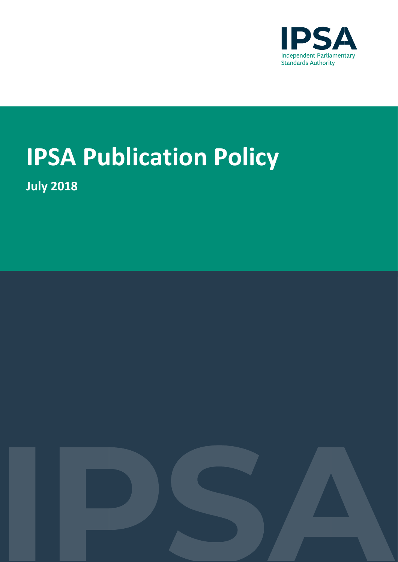

# **IPSA Publication Policy**

**July 2018**

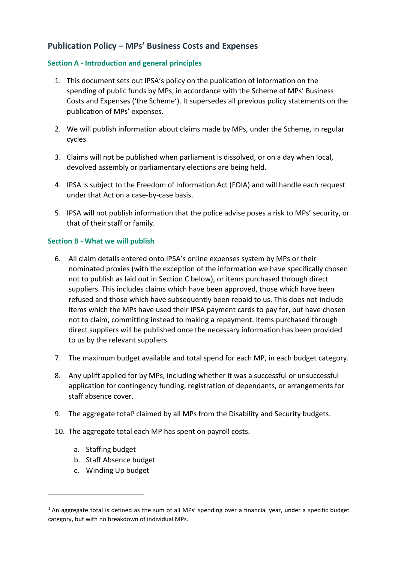### **Publication Policy – MPs' Business Costs and Expenses**

#### **Section A - Introduction and general principles**

- 1. This document sets out IPSA's policy on the publication of information on the spending of public funds by MPs, in accordance with the Scheme of MPs' Business Costs and Expenses ('the Scheme'). It supersedes all previous policy statements on the publication of MPs' expenses.
- 2. We will publish information about claims made by MPs, under the Scheme, in regular cycles.
- 3. Claims will not be published when parliament is dissolved, or on a day when local, devolved assembly or parliamentary elections are being held.
- 4. IPSA is subject to the Freedom of Information Act (FOIA) and will handle each request under that Act on a case-by-case basis.
- 5. IPSA will not publish information that the police advise poses a risk to MPs' security, or that of their staff or family.

#### **Section B - What we will publish**

- 6. All claim details entered onto IPSA's online expenses system by MPs or their nominated proxies (with the exception of the information we have specifically chosen not to publish as laid out in Section C below), or items purchased through direct suppliers. This includes claims which have been approved, those which have been refused and those which have subsequently been repaid to us. This does not include items which the MPs have used their IPSA payment cards to pay for, but have chosen not to claim, committing instead to making a repayment. Items purchased through direct suppliers will be published once the necessary information has been provided to us by the relevant suppliers.
- 7. The maximum budget available and total spend for each MP, in each budget category.
- 8. Any uplift applied for by MPs, including whether it was a successful or unsuccessful application for contingency funding, registration of dependants, or arrangements for staff absence cover.
- 9. The aggregate total<sup>1</sup> claimed by all MPs from the Disability and Security budgets.
- 10. The aggregate total each MP has spent on payroll costs.
	- a. Staffing budget

-

- b. Staff Absence budget
- c. Winding Up budget

 $1$  An aggregate total is defined as the sum of all MPs' spending over a financial year, under a specific budget category, but with no breakdown of individual MPs.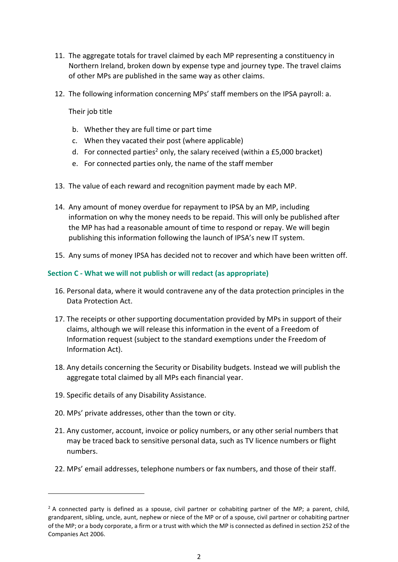- 11. The aggregate totals for travel claimed by each MP representing a constituency in Northern Ireland, broken down by expense type and journey type. The travel claims of other MPs are published in the same way as other claims.
- 12. The following information concerning MPs' staff members on the IPSA payroll: a.

Their job title

- b. Whether they are full time or part time
- c. When they vacated their post (where applicable)
- d. For connected parties<sup>2</sup> only, the salary received (within a £5,000 bracket)
- e. For connected parties only, the name of the staff member
- 13. The value of each reward and recognition payment made by each MP.
- 14. Any amount of money overdue for repayment to IPSA by an MP, including information on why the money needs to be repaid. This will only be published after the MP has had a reasonable amount of time to respond or repay. We will begin publishing this information following the launch of IPSA's new IT system.
- 15. Any sums of money IPSA has decided not to recover and which have been written off.

#### **Section C - What we will not publish or will redact (as appropriate)**

- 16. Personal data, where it would contravene any of the data protection principles in the Data Protection Act.
- 17. The receipts or other supporting documentation provided by MPs in support of their claims, although we will release this information in the event of a Freedom of Information request (subject to the standard exemptions under the Freedom of Information Act).
- 18. Any details concerning the Security or Disability budgets. Instead we will publish the aggregate total claimed by all MPs each financial year.
- 19. Specific details of any Disability Assistance.

.

- 20. MPs' private addresses, other than the town or city.
- 21. Any customer, account, invoice or policy numbers, or any other serial numbers that may be traced back to sensitive personal data, such as TV licence numbers or flight numbers.
- 22. MPs' email addresses, telephone numbers or fax numbers, and those of their staff.

 $<sup>2</sup>$  A connected party is defined as a spouse, civil partner or cohabiting partner of the MP; a parent, child,</sup> grandparent, sibling, uncle, aunt, nephew or niece of the MP or of a spouse, civil partner or cohabiting partner of the MP; or a body corporate, a firm or a trust with which the MP is connected as defined in section 252 of the Companies Act 2006.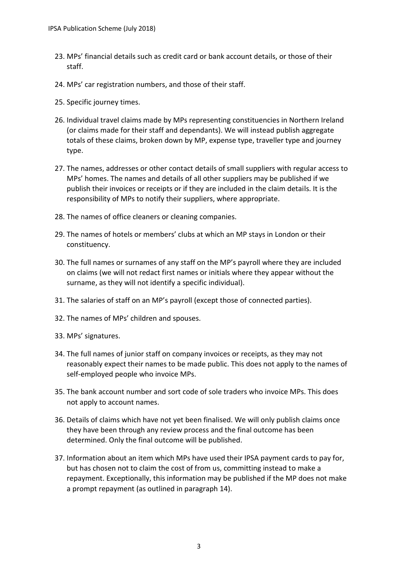- 23. MPs' financial details such as credit card or bank account details, or those of their staff.
- 24. MPs' car registration numbers, and those of their staff.
- 25. Specific journey times.
- 26. Individual travel claims made by MPs representing constituencies in Northern Ireland (or claims made for their staff and dependants). We will instead publish aggregate totals of these claims, broken down by MP, expense type, traveller type and journey type.
- 27. The names, addresses or other contact details of small suppliers with regular access to MPs' homes. The names and details of all other suppliers may be published if we publish their invoices or receipts or if they are included in the claim details. It is the responsibility of MPs to notify their suppliers, where appropriate.
- 28. The names of office cleaners or cleaning companies.
- 29. The names of hotels or members' clubs at which an MP stays in London or their constituency.
- 30. The full names or surnames of any staff on the MP's payroll where they are included on claims (we will not redact first names or initials where they appear without the surname, as they will not identify a specific individual).
- 31. The salaries of staff on an MP's payroll (except those of connected parties).
- 32. The names of MPs' children and spouses.
- 33. MPs' signatures.
- 34. The full names of junior staff on company invoices or receipts, as they may not reasonably expect their names to be made public. This does not apply to the names of self-employed people who invoice MPs.
- 35. The bank account number and sort code of sole traders who invoice MPs. This does not apply to account names.
- 36. Details of claims which have not yet been finalised. We will only publish claims once they have been through any review process and the final outcome has been determined. Only the final outcome will be published.
- 37. Information about an item which MPs have used their IPSA payment cards to pay for, but has chosen not to claim the cost of from us, committing instead to make a repayment. Exceptionally, this information may be published if the MP does not make a prompt repayment (as outlined in paragraph 14).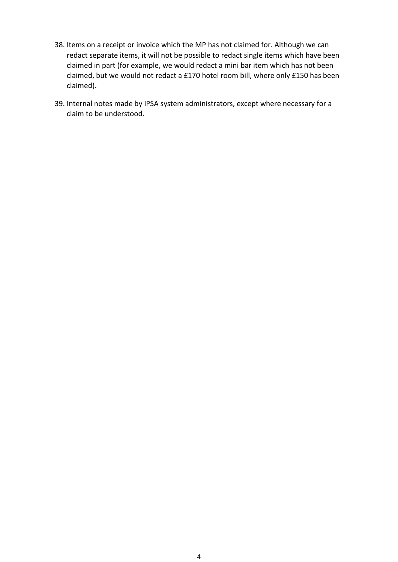- 38. Items on a receipt or invoice which the MP has not claimed for. Although we can redact separate items, it will not be possible to redact single items which have been claimed in part (for example, we would redact a mini bar item which has not been claimed, but we would not redact a £170 hotel room bill, where only £150 has been claimed).
- 39. Internal notes made by IPSA system administrators, except where necessary for a claim to be understood.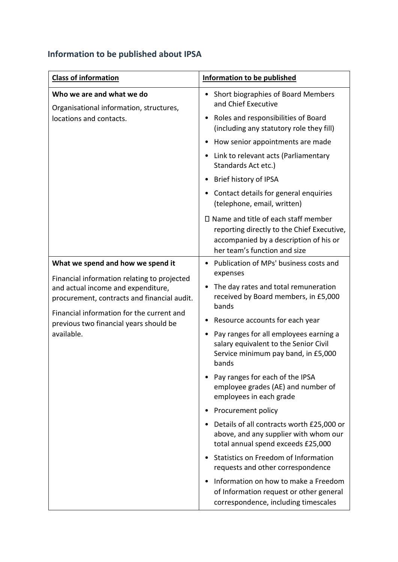## **Information to be published about IPSA**

| <b>Class of information</b>                                                                                                                                                                                                                                                | <b>Information to be published</b>                                                                                                                                 |
|----------------------------------------------------------------------------------------------------------------------------------------------------------------------------------------------------------------------------------------------------------------------------|--------------------------------------------------------------------------------------------------------------------------------------------------------------------|
| Who we are and what we do<br>Organisational information, structures,<br>locations and contacts.                                                                                                                                                                            | Short biographies of Board Members<br>and Chief Executive                                                                                                          |
|                                                                                                                                                                                                                                                                            | Roles and responsibilities of Board<br>(including any statutory role they fill)                                                                                    |
|                                                                                                                                                                                                                                                                            | How senior appointments are made                                                                                                                                   |
|                                                                                                                                                                                                                                                                            | Link to relevant acts (Parliamentary<br>Standards Act etc.)                                                                                                        |
|                                                                                                                                                                                                                                                                            | Brief history of IPSA                                                                                                                                              |
|                                                                                                                                                                                                                                                                            | Contact details for general enquiries<br>(telephone, email, written)                                                                                               |
|                                                                                                                                                                                                                                                                            | $\Box$ Name and title of each staff member<br>reporting directly to the Chief Executive,<br>accompanied by a description of his or<br>her team's function and size |
| What we spend and how we spend it<br>Financial information relating to projected<br>and actual income and expenditure,<br>procurement, contracts and financial audit.<br>Financial information for the current and<br>previous two financial years should be<br>available. | Publication of MPs' business costs and                                                                                                                             |
|                                                                                                                                                                                                                                                                            | expenses<br>The day rates and total remuneration<br>received by Board members, in £5,000<br>bands                                                                  |
|                                                                                                                                                                                                                                                                            | Resource accounts for each year                                                                                                                                    |
|                                                                                                                                                                                                                                                                            | Pay ranges for all employees earning a<br>salary equivalent to the Senior Civil<br>Service minimum pay band, in £5,000<br>bands                                    |
|                                                                                                                                                                                                                                                                            | Pay ranges for each of the IPSA<br>employee grades (AE) and number of<br>employees in each grade                                                                   |
|                                                                                                                                                                                                                                                                            | Procurement policy                                                                                                                                                 |
|                                                                                                                                                                                                                                                                            | Details of all contracts worth £25,000 or<br>above, and any supplier with whom our<br>total annual spend exceeds £25,000                                           |
|                                                                                                                                                                                                                                                                            | Statistics on Freedom of Information<br>requests and other correspondence                                                                                          |
|                                                                                                                                                                                                                                                                            | Information on how to make a Freedom<br>of Information request or other general<br>correspondence, including timescales                                            |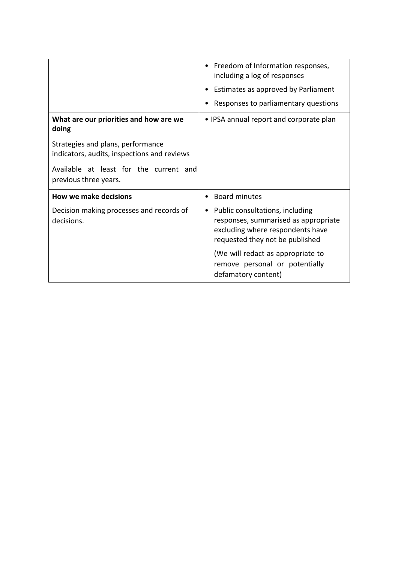|                                                                                  | Freedom of Information responses,<br>$\bullet$<br>including a log of responses<br>Estimates as approved by Parliament<br>Responses to parliamentary questions |
|----------------------------------------------------------------------------------|---------------------------------------------------------------------------------------------------------------------------------------------------------------|
| What are our priorities and how are we<br>doing                                  | • IPSA annual report and corporate plan                                                                                                                       |
| Strategies and plans, performance<br>indicators, audits, inspections and reviews |                                                                                                                                                               |
| Available at least for the current and<br>previous three years.                  |                                                                                                                                                               |
| <b>How we make decisions</b>                                                     | <b>Board minutes</b>                                                                                                                                          |
| Decision making processes and records of<br>decisions.                           | Public consultations, including<br>$\bullet$<br>responses, summarised as appropriate<br>excluding where respondents have<br>requested they not be published   |
|                                                                                  | (We will redact as appropriate to<br>remove personal or potentially<br>defamatory content)                                                                    |